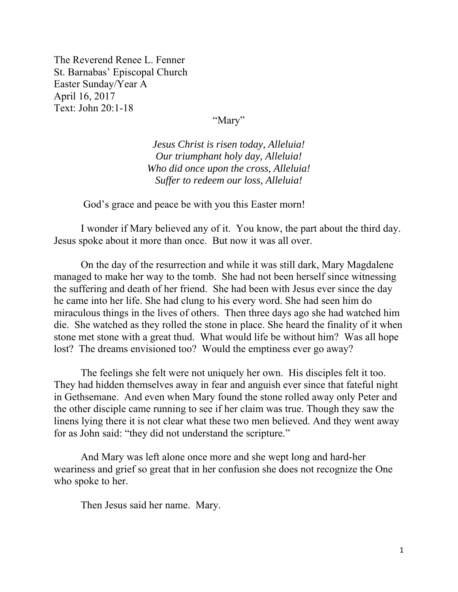The Reverend Renee L. Fenner St. Barnabas' Episcopal Church Easter Sunday/Year A April 16, 2017 Text: John 20:1-18

"Mary"

*Jesus Christ is risen today, Alleluia! Our triumphant holy day, Alleluia! Who did once upon the cross, Alleluia! Suffer to redeem our loss, Alleluia!* 

God's grace and peace be with you this Easter morn!

 I wonder if Mary believed any of it. You know, the part about the third day. Jesus spoke about it more than once. But now it was all over.

 On the day of the resurrection and while it was still dark, Mary Magdalene managed to make her way to the tomb. She had not been herself since witnessing the suffering and death of her friend. She had been with Jesus ever since the day he came into her life. She had clung to his every word. She had seen him do miraculous things in the lives of others. Then three days ago she had watched him die. She watched as they rolled the stone in place. She heard the finality of it when stone met stone with a great thud. What would life be without him? Was all hope lost? The dreams envisioned too? Would the emptiness ever go away?

The feelings she felt were not uniquely her own. His disciples felt it too. They had hidden themselves away in fear and anguish ever since that fateful night in Gethsemane. And even when Mary found the stone rolled away only Peter and the other disciple came running to see if her claim was true. Though they saw the linens lying there it is not clear what these two men believed. And they went away for as John said: "they did not understand the scripture."

And Mary was left alone once more and she wept long and hard-her weariness and grief so great that in her confusion she does not recognize the One who spoke to her.

Then Jesus said her name. Mary.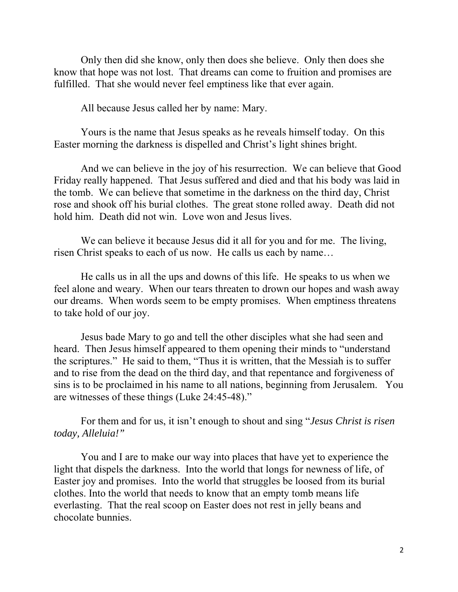Only then did she know, only then does she believe. Only then does she know that hope was not lost. That dreams can come to fruition and promises are fulfilled. That she would never feel emptiness like that ever again.

All because Jesus called her by name: Mary.

Yours is the name that Jesus speaks as he reveals himself today. On this Easter morning the darkness is dispelled and Christ's light shines bright.

And we can believe in the joy of his resurrection. We can believe that Good Friday really happened. That Jesus suffered and died and that his body was laid in the tomb. We can believe that sometime in the darkness on the third day, Christ rose and shook off his burial clothes. The great stone rolled away. Death did not hold him. Death did not win. Love won and Jesus lives.

We can believe it because Jesus did it all for you and for me. The living, risen Christ speaks to each of us now. He calls us each by name…

He calls us in all the ups and downs of this life. He speaks to us when we feel alone and weary. When our tears threaten to drown our hopes and wash away our dreams. When words seem to be empty promises. When emptiness threatens to take hold of our joy.

Jesus bade Mary to go and tell the other disciples what she had seen and heard. Then Jesus himself appeared to them opening their minds to "understand the scriptures." He said to them, "Thus it is written, that the Messiah is to suffer and to rise from the dead on the third day, and that repentance and forgiveness of sins is to be proclaimed in his name to all nations, beginning from Jerusalem. You are witnesses of these things (Luke 24:45-48)."

For them and for us, it isn't enough to shout and sing "*Jesus Christ is risen today, Alleluia!"* 

You and I are to make our way into places that have yet to experience the light that dispels the darkness. Into the world that longs for newness of life, of Easter joy and promises. Into the world that struggles be loosed from its burial clothes. Into the world that needs to know that an empty tomb means life everlasting. That the real scoop on Easter does not rest in jelly beans and chocolate bunnies.